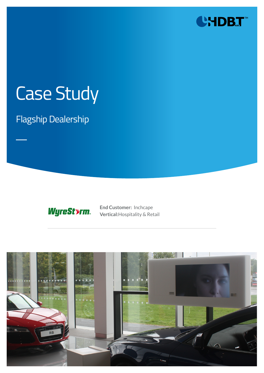

# Case Study

### Flagship Dealership



**End Customer:** Inchcape **Vertical:**Hospitality & Retail